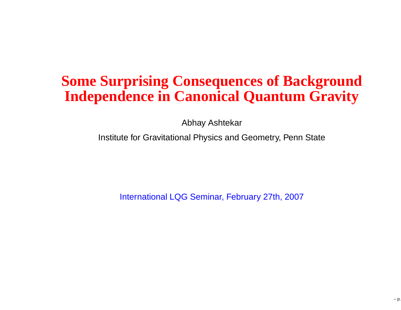### **Some Surprising Consequences of BackgroundIndependence in Canonical Quantum Gravity**

Abhay Ashtekar

Institute for Gravitational Physics and Geometry, Penn State

International LQG Seminar, February 27th, 2007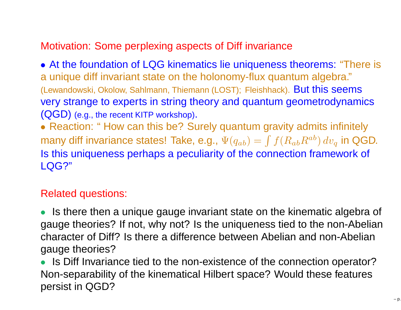#### Motivation: Some perplexing aspects of Diff invariance

• At the foundation of LQG kinematics lie uniqueness theorems: "There is <sup>a</sup> unique diff invariant state on the holonomy-flux quantum algebra."(Lewandowski, Okolow, Sahlmann, Thiemann (LOST); Fleishhack). But this seems very strange to experts in string theory and quantum geometrodynamics $(\mathsf{QGD})$  (e.g., the recent KITP workshop).

• Reaction: " How can this be? Surely quantum gravity admits infinitely many diff invariance states! Take, e.g.,  $\Psi(q_{ab})=\int f(R_{ab}R^{ab})\,dv_q$  in QGD. Is this uniqueness perhaps <sup>a</sup> peculiarity of the connection framework of LQG?"

#### Related questions:

• Is there then <sup>a</sup> unique gauge invariant state on the kinematic algebra of gauge theories? If not, why not? Is the uniqueness tied to the non-Abelian character of Diff? Is there <sup>a</sup> difference between Abelian and non-Abelian gauge theories?

• Is Diff Invariance tied to the non-existence of the connection operator? Non-separability of the kinematical Hilbert space? Would these featurespersist in QGD?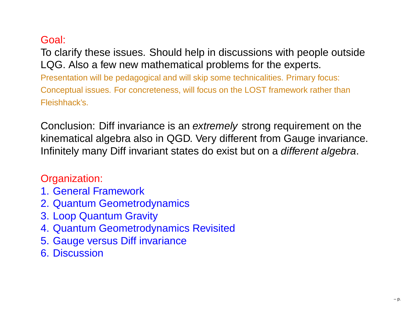#### Goal:

To clarify these issues. Should help in discussions with people outsideLQG. Also <sup>a</sup> few new mathematical problems for the experts.

Presentation will be pedagogical and will skip some technicalities. Primary focus: Conceptual issues. For concreteness, will focus on the LOST framework rather than Fleishhack's.

Conclusion: Diff invariance is an extremely strong requirement on the kinematical algebra also in QGD. Very different from Gauge invariance. Infinitely many Diff invariant states do exist but on a *different algebra*.

#### Organization:

- 1. General Framework
- 2. Quantum Geometrodynamics
- 3. Loop Quantum Gravity
- 4. Quantum Geometrodynamics Revisited
- 5. Gauge versus Diff invariance
- 6. Discussion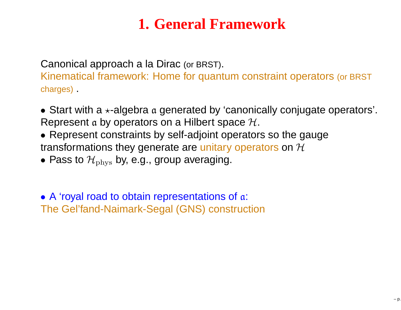# **1. General Framework**

Canonical approach <sup>a</sup> la Dirac (or BRST).

Kinematical framework: Home for quantum constraint operators (or BRST charges) .

- Start with a  $\star$ -algebra a generated by 'canonically conjugate operators'. Represent a by operators on a Hilbert space  $\mathcal H.$
- Represent constraints by self-adjoint operators so the gaugetransformations they generate are unitary operators on  ${\cal H}$
- $\bullet$  Pass to  $\mathcal{H}_{\text{phys}}$  by, e.g., group averaging.

• A 'royal road to obtain representations of a: The Gel'fand-Naimark-Segal (GNS) construction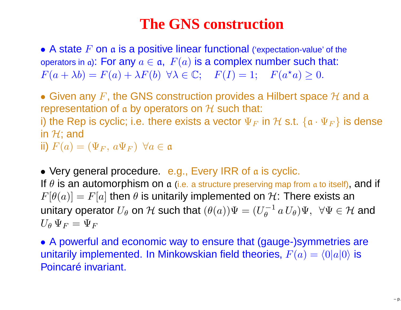#### **The GNS construction**

• A state  $F$  on  $\frak a$  is a positive linear functional ('expectation-value' of the operators in a): For any  $a\in\mathfrak{a},\;F(a)$  is a complex number such that:  $F(a + \lambda b) = F(a) + \lambda F(b) \quad \forall \lambda \in \mathbb{C}; \quad F(I) = 1; \quad F(a^*$  $a^*\alpha)\geq 0.$ 

• Given any F, the GNS construction provides a Hilbert space  $H$  and a representation of a by energience on  $H$  such that: representation of a by operators on  $\mathcal H$  such that:<br>i) the Pen is quoliq: i.e. there exists a vector  $\bar{\Psi}$ 

i) the Rep is cyclic; i.e. there exists a vector  $\Psi_F$  $_{F}$  in  ${\cal H}$  s.t.  $\{ \mathfrak{a} \cdot \Psi_{F} \}$  is dense in  $\mathcal{H};$  and

ii)  $F(a) = (\Psi_F, a\Psi_F) \ \ \forall a \in \mathfrak{a}$ 

• Very general procedure. e.g., Every IRR of a is cyclic. If  $\theta$  is an automorphism on  $\mathfrak a$  (i.e. a structure preserving map from  $\mathfrak a$  to itself), and if  $F[\theta(a)]=F[a]$  then  $\theta$  is unitarily implemented on  $\mathcal{H}$ : There exists an unitary operator  $U_\theta$  on  ${\mathcal H}$  such that  $(\theta(a))\Psi=(U_\theta^{-1}\,a\,U_\theta)\Psi,\,\,\,\forall \Psi\in{\mathcal H}$ 1 $\overline{\theta}^{-1} a U_{\theta} \Psi, \ \ \forall \Psi \in \mathcal{H}$  and  $U_\theta\,\Psi_F = \Psi_F$ 

• <sup>A</sup> powerful and economic way to ensure that (gauge-)symmetries areunitarily implemented. In Minkowskian field theories,  $F(a)=\langle0|a|0\rangle$  is Poincaré invariant.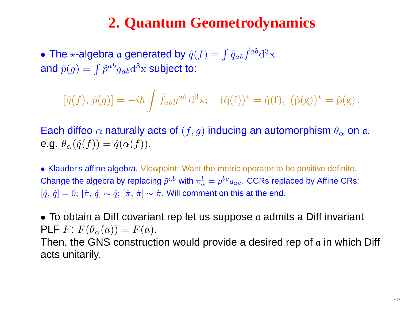# **2. Quantum Geometrodynamics**

 $\bullet$  The  $\star$ -algebra  $\mathfrak a$  generated by  $\hat q(f)=\int \hat q_{ab}\tilde f^{ab}\mathrm{d}^3$ and  $\hat{p}(g) = \int \hat{p}^{ab} g_{ab} \mathrm{d}^3 \mathrm{x}$  subject to  $\mathbf{X}^{\prime}$  $\frac{3}{3}$ x subject to:

$$
[\hat{q}(f), \hat{p}(g)] = -i\hbar \int \tilde{f}_{ab} g^{ab} d^{3}x; \quad (\hat{q}(f))^{\star} = \hat{q}(f), \ (\hat{p}(g))^{\star} = \hat{p}(g).
$$

Each diffeo  $\alpha$  naturally acts of  $(f,g)$  inducing an automorphism  $\theta_\alpha$  on  $\mathfrak{a}.$ e.g.  $\theta_\alpha(\hat{q}(f)) = \hat{q}(\alpha(f)).$ 

• Klauder's affine algebra. Viewpoint: Want the metric operator to be positive definite. Change the algebra by replacing  $\tilde p^{ab}$  with  $\pi_a^b=p^{bc}q_{ac}.$  CCRs replaced by Affine CRs:  $[\hat{q},\,\hat{q}] = 0; \, [\hat{\pi},\,\hat{q}] \sim \hat{q}; \, [\hat{\pi},\,\hat{\pi}] \sim \hat{\pi}.$  Will comment on this at the end.

• To obtain a Diff covariant rep let us suppose  $\mathfrak a$  admits a Diff invariant  $\mathsf{PLF}~F\colon F(\theta_\alpha(a))=F(a).$  $\mathbf{r}$  and  $\mathbf{r}$  and  $\mathbf{r}$  Then, the GNS construction would provide <sup>a</sup> desired rep of a in which Diff acts unitarily.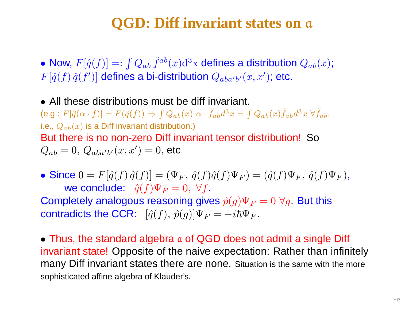#### **QGD: Diff invariant states on**a

• Now,  $F[\hat{q}(f)] =: \int Q_{ab} \, \tilde{f}^{ab}(x) \mathrm{d}^3$  $F[\hat{q}(f) \, \hat{q}(f')]$  defines a bi-distribution  $Q_{aba'b'}(x,x')$ ; etc.  $^3\mathrm{x}$  defines a distribution  $Q_{ab}(x)$ ;  $\mathcal{L}(x,x^{\prime});$  etc.

• All these distributions must be diff invariant. (e.g.:  $F[\hat{q}(\alpha \cdot f)] = F(\hat{q}(f)) \Rightarrow \int Q_{ab}(x) \alpha \cdot \tilde{f}_{ab} d^3$ i.e.,  $Q_{ab}(x)$  is a Diff invariant distribution.)  $^{3}x=\int Q_{ab}(x)\tilde{f}_{ab}d^{3}$  $^3x$   $\forall \tilde{f}_{ab},$ But there is no non-zero Diff invariant tensor distribution! So $Q_{ab}=0,\,Q_{aba'b'}$  $\alpha(x,x')=0,$  etc

 $\bullet$  Since  $0 = F[\hat{q}(f) \, \hat{q}(f)] = (\Psi_F, \, \hat{q}(f) \hat{q}(f) \Psi_F)$ we conclude:  $\hat{q}(f)\Psi_F = 0, \ \forall f.$  $F_{F}$ ) = ( $\hat{q}(f)\Psi_{F}, \hat{q}(f)\Psi_{F}$ ), Completely analogous reasoning gives  $\hat{p}(g)\Psi_F = 0$   $\forall g$ . But this contradicts the CCR:  $[\hat{q}(f), \, \hat{p}(g)]\Psi_F=-i\hbar\Psi_F$ .

 $\bullet$  Thus, the standard algebra  $\alpha$  of QGD does not admit a single Diff invariant state! Opposite of the naive expectation: Rather than infinitely many Diff invariant states there are none. Situation is the same with the moresophisticated affine algebra of Klauder's.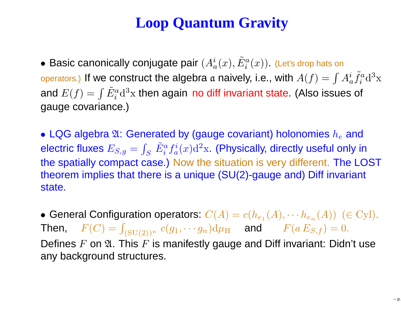# **Loop Quantum Gravity**

 $\bullet$  Basic canonically conjugate pair  $(A_a^i(x), \tilde{E}^a_i)$ operators.) If we construct the algebra  $\frak a$  naively, i.e., with  $A(f)=\int A_a^i$  $\binom{a}{i}(x)$  (Let's drop hats on and the company of the company of the company of the company of the company of the company of the company of the company of the company of the company of the company of the company of the company of the company of the comp and  $E(f)=\int \tilde{E}^a_i\mathrm{d}^3\mathrm{x}$  then again no diff invariant state. (Also issues  $\tilde{f}^a_i$  $i^a$ d<sup>3</sup>  $\mathbf{X}^{\cup}$  gauge covariance.) $\it a$  $\int_{i}^{a}$ d $^{3}$  $\frac{3}{3}x$  then again no diff invariant state. (Also issues of

 $\bullet$  LQG algebra  $\mathfrak{A}\text{:}$  Generated by (gauge covariant) holonomies  $h_e$  and electric fluxes  $E_{S,g}=\int_S\,\tilde{E}^a_i f^i_a(x){\rm d}^2{\rm x}.$  (Physically, directly useful only the spatially compact case.) Now the situation is very different. The LOST $\int_S \; \tilde{E}^a_i$  $\int_a^af_a^i(x){\rm d}^2$  $\rm{^2x}.$  (Physically, directly useful only in theorem implies that there is <sup>a</sup> unique (SU(2)-gauge and) Diff invariant state.

 $\bullet$  General Configuration operators:  $C(A)=c(h_{e_{1}}(A),$  $\Delta$ Then,  $F(C) = \int_{(\text{SU}(2))^n} c(g_1, \dotsm g_n) d\mu_H$  and  $F(a E_{S,f}) = 0$ .  $\frac{1}{2}$  $h_{e_n}(A)) \ \ (\in \text{Cyl}).$ Defines  $F$  on  $\mathfrak A.$  This  $F$  is manifestly gauge and Diff invariant: Didn't use any background structures.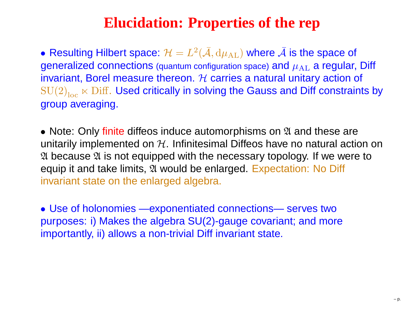# **Elucidation: Properties of the rep**

 $\bullet$  Resulting Hilbert space:  $\mathcal{H}=L^2$ generalized connections (quantum configuration space) and  $\mu_\mathrm{AL}$  a regular, Diff  $^{2}(\bar{\mathcal{A}},\mathrm{d}\mu_{\mathrm{AL}})$  where  $\bar{\mathcal{A}}$  is the space of invariant, Borel measure thereon.  ${\cal H}$  carries a natural unitary action of<br>SULO Low Diff. Head eritically in solving the Cause and Diff constraint  ${\rm SU(2)}_{\rm loc}\ltimes {\rm Diff.}$  Used critically in solving the Gauss and Diff constraints by group averaging.

• Note: Only finite diffeos induce automorphisms on 24 and these are unitarily implemented on  $\mathcal H.$  Infinitesimal Diffeos have no natural action on A because A is not equipped with the necessary topology. If we were to equip it and take limits,  $\mathfrak A$  would be enlarged. Expectation: No Diff invariant state on the enlarged algebra.

• Use of holonomies —exponentiated connections— serves two purposes: i) Makes the algebra SU(2)-gauge covariant; and moreimportantly, ii) allows <sup>a</sup> non-trivial Diff invariant state.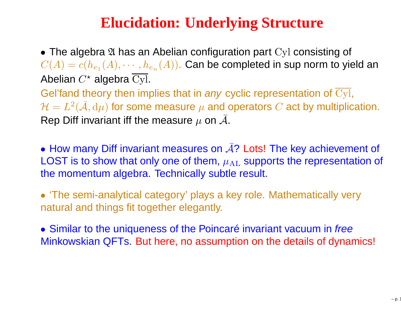# **Elucidation: Underlying Structure**

• The algebra  $\mathfrak A$  has an Abelian configuration part Cyl consisting of  $C(A) = c(h_{e_1}(A), \cdots, h_e)$ Abelian  $C^{\star}$  algebra  $\overline{\rm Cyl}.$  $_{e_n}(A))$ . Can be completed in sup norm to yield an Gel'fand theory then implies that in *any* cyclic representation of  $\overline{\rm Cyl},$  $\mathcal{H}=L^2$  $\mathcal{C}^2(\bar{\mathcal{A}},\mathrm{d}\mu)$  for some measure  $\mu$  and operators  $C$  act by multiplication.

Rep Diff invariant iff the measure  $\mu$  on  $\bar{\mathcal{A}}$ .

• How many Diff invariant measures on  $\overline{A}$ ? Lots! The key achievement of LOST is to show that only one of them,  $\mu_\text{AL}$  supports the representation of the momentum algebra. Technically subtle result.

• 'The semi-analytical category' plays <sup>a</sup> key role. Mathematically very natural and things fit together elegantly.

• Similar to the uniqueness of the Poincaré invariant vacuum in free Minkowskian QFTs. But here, no assumption on the details of dynamics!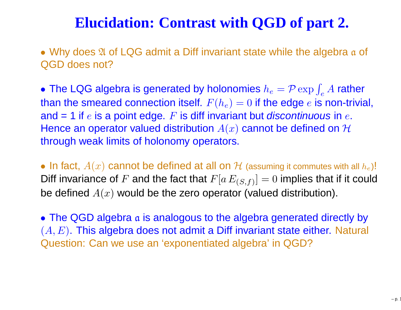## **Elucidation: Contrast with QGD of part 2.**

• Why does 2 of LQG admit a Diff invariant state while the algebra a of QGD does not?

• The LQG algebra is generated by holonomies  $h_e = \mathcal{P} \exp \int_e A$  rather than the smeared connection itself.  $F(h_e)=0$  if the edge  $e$  is non-trivial, and = 1 if  $e$  is a point edge.  $F$  is diff invariant but *discontinuous* in  $e$ . Hence an operator valued distribution  $A(x)$  cannot be defined on  $\mathcal H$ through weak limits of holonomy operators.

• In fact,  $A(x)$  cannot be defined at all on  $\mathcal H$  (assuming it commutes with all  $h_e$ )!<br>Diff in griange of  $E$  and the feet that  $E[x, E] = 0$  implies that if it could Diff invariance of  $F$  and the fact that  $F[a\,E_{(S,f)}]=0$  implies that if it could be defined  $A(x)$  would be the zero operator (valued distribution).

 $\bullet$  The QGD algebra  $\frak a$  is analogous to the algebra generated directly by  $(A,E).$  This algebra does not admit a Diff invariant state either. Natural Question: Can we use an 'exponentiated algebra' in QGD?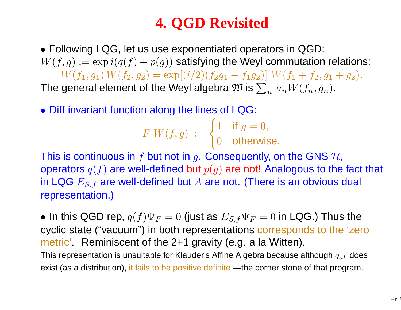# **4. QGD Revisited**

• Following LQG, let us use exponentiated operators in QGD:  $W(f,g) := \exp i (q(f) + p(g))$  satisfying the Weyl commutation relations:  $W(f_1, g_1) W(f_2, g_2) = \exp[(i/2)(f_2g_1 - f_1g_2)] W(f_1 + f_2, g_1 + g_2).$ The general element of the Weyl algebra  $\mathfrak W$  is  $\sum_n \, a_n W(f_n, g_n).$ 

• Diff invariant function along the lines of LQG:

$$
F[W(f,g)] := \begin{cases} 1 & \text{if } g = 0, \\ 0 & \text{otherwise.} \end{cases}
$$

This is continuous in  $f$  but not in  $g$ . Consequently, on the GNS  $\mathcal{H},$ operators  $q(f)$  are well-defined but  $p(g)$  are not! Analogous to the fact that in LQG  $E_{S,f}$  are well-defined but  $A$  are not. (There is an obvious dual sensus contation ) representation.)

 $\bullet$  In this QGD rep,  $q(f)\Psi_F=0$  (just as  $E_{S,f}\Psi_F=0$  in LQG.) Thus the cyclic state ("vacuum") in both representations corresponds to the 'zerometric'. Reminiscent of the 2+1 gravity (e.g. a la Witten). This representation is unsuitable for Klauder's Affine Algebra because although  $\it{q}_{ab}$  does exist (as <sup>a</sup> distribution), it fails to be positive definite —the corner stone of that program.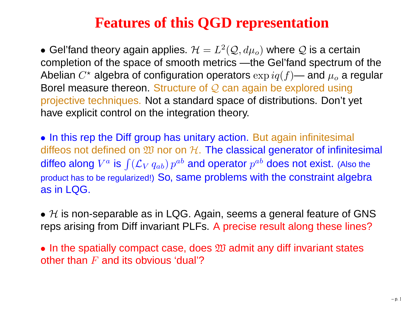## **Features of this QGD representation**

 $\bullet$  Gel'fand theory again applies.  $\mathcal{H}=L^2$  completion of the space of smooth metrics —the Gel'fand spectrum of the $\mathcal{C}^2(\mathcal{Q},d\mu_o)$  where  $\mathcal Q$  is a certain Abelian  $C^{\star}$  algebra of configuration operators  $\exp iq(f)$ — and  $\mu_o$  a regula Borel measure thereon. Structure of Q can again be explored using<br>projective techniques. Not a standard appea of distributional Dap't \  $_{o}$  a regular projective techniques. Not <sup>a</sup> standard space of distributions. Don't yet have explicit control on the integration theory.

• In this rep the Diff group has unitary action. But again infinitesimal diffeos not defined on  $\mathfrak W$  nor on  $\mathcal H.$  The classical generator of infinitesimal  $\mathbb Z$ U nor on $\mathbb Z$ diffeo along  $V^a$  is  $\int ({\cal L}_V\,q_{ab})\,p^{ab}$  and operator  $p^{ab}$  does not exist. (Also the product has to be regularized!) So, same problems with the constraint algebra as in LQG.

 $\bullet$   $\cal H$  is non-separable as in LQG. Again, seems a general feature of GNS<br>reps arising from Diff invariant PLEs. A precise result along these lines? reps arising from Diff invariant PLFs. A precise result along these lines?

 $\bullet$  In the spatially compact case, does  $\mathfrak W$  admit any diff invariant states<br>other than  $F$  and its obvious 'dual'? other than  $F$  and its obvious 'dual'?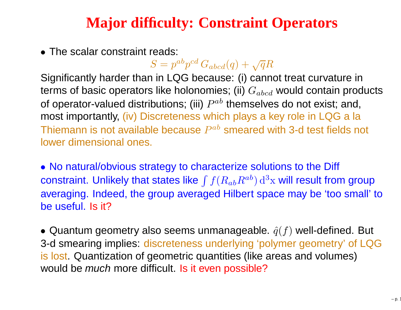# **Major difficulty: Constraint Operators**

• The scalar constraint reads:

 $S=p^{ab}p^{cd}\,G_{abcd}(q)+\sqrt{q}R$ 

 Significantly harder than in LQG because: (i) cannot treat curvature interms of basic operators like holonomies; (ii)  $G_{abcd}$  would contain products of operator-valued distributions; (iii)  $P^{ab}$  themselves do not exist; and, most importantly, (iv) Discreteness which plays <sup>a</sup> key role in LQG <sup>a</sup> laThiemann is not available because  $P^{ab}$  smeared with 3-d test fields not lower dimensional ones.

• No natural/obvious strategy to characterize solutions to the Diff constraint. Unlikely that states like  $\int f(R_{ab}R^{ab})\,{\rm d}^3$  averaging. Indeed, the group averaged Hilbert space may be 'too small' to $\mathrm{^{3}x}$  will result from group be useful. Is it?

 $\bullet$  Quantum geometry also seems unmanageable.  $\hat{q}(f)$  well-defined. But 3-d smearing implies: discreteness underlying 'polymer geometry' of LQGis lost. Quantization of geometric quantities (like areas and volumes)would be *much* more difficult. <mark>Is it even possible?</mark>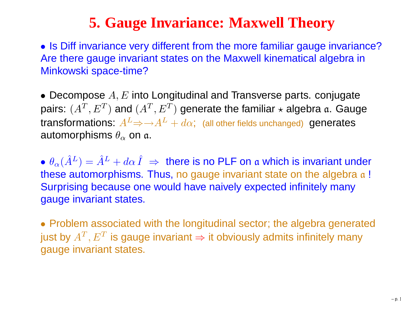# **5. Gauge Invariance: Maxwell Theory**

• Is Diff invariance very different from the more familiar gauge invariance?Are there gauge invariant states on the Maxwell kinematical algebra inMinkowski space-time?

• Decompose  $A, E$  into Longitudinal and Transverse parts. conjugate pairs:  $(A^T, E^T)$ transformations:  $A^L$ ⇒→ $A^L+d\alpha$ ; (all other fields unchanged) generates  $\left(T\right)$  and  $(A^T ,E^T)$  $\mathbf{u}^{(T)}$  generate the familiar  $\star$  algebra  $\mathfrak{a}.$  Gauge automorphisms  $\theta_\alpha$  on  $\mathfrak{a}.$ 

 $\bullet$   $\theta_\alpha(\hat{A}^L) = \hat{A}^L + d\alpha \hat{I} \implies$  there is no PLF on a which is invariant under<br>these automorphisms. Thus, no gauge invariant state on the algebra g l  $\mathbf{d}$  and  $\mathbf{d}$ these automorphisms. Thus, no gauge invariant state on the algebra  $\alpha$  ! Surprising because one would have naively expected infinitely manygauge invariant states.

• Problem associated with the longitudinal sector; the algebra generatedjust by  $A^T, E^T$  is gauge invariant  $\Rightarrow$  it obviously admits infinitely many<br>gauge invariant states gauge invariant states.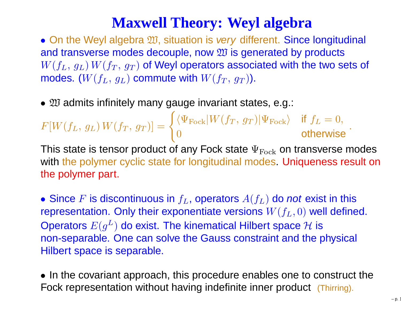## **Maxwell Theory: Weyl algebra**

 $\bullet$  On the Weyl algebra  $\mathfrak W$ , situation is very different. Since longitudinal and transverse modes decouple, now  $\mathfrak W$  is generated by products<br> $W(\overline{f_{L}-a_{L}}) \, W(\overline{f_{T}-a_{L}})$  of Weyl operators associated with the two so  $W(f_L, \, g_L) \, W(f_T, \, g_T)$  of Weyl operators associated with the two sets of  $-1 - 1$ modes.  $(W(f_L, \, g_L)$  commute with  $W(f_T, \, g_T))$ .

•  $\mathfrak W$  admits infinitely many gauge invariant states, e.g.:

 $F[W$  $(f_L, g_L)$ )  $\,W\,$  $(f_T,~g_T)$  $_{T})] =$  $\begin{cases} \langle \Psi_{\rm Fock}|W\ 0 \end{cases}$  $(f_T,~g_T)$  $\langle \Psi_{\rm Fock} \rangle$  if  $f_L = 0$ , 0 otherwise<sup>3</sup>

This state is tensor product of any Fock state  $\Psi_{\rm Fock}$  on transverse modes with the polymer cyclic state for longitudinal modes. Uniqueness result on the polymer part.

• Since F is discontinuous in  $f_L$ , operators  $A(f_L)$  do not exist in this representation. Only their exponentiate versions  $W(f_L, 0)$  well defined. Operators  $E(g^L)$  do exist. The kinematical Hilber non-separable. One can solve the Gauss constraint and the physical  $L^{L}$ ) do exist. The kinematical Hilbert space  $\mathcal H$  is<br>One can solve the Cause constraint and the r Hilbert space is separable.

• In the covariant approach, this procedure enables one to construct theFock representation without having indefinite inner product (Thirring).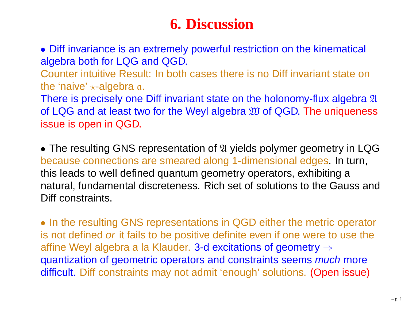### **6. Discussion**

• Diff invariance is an extremely powerful restriction on the kinematical algebra both for LQG and QGD.

Counter intuitive Result: In both cases there is no Diff invariant state onthe 'naive' <sub>∗</sub>-algebra a.<br>−

There is precisely one Diff invariant state on the holonomy-flux algebra  $\mathfrak A$ of LQG and at least two for the Weyl algebra  $\mathfrak W$  of QGD. The uniqueness<br>issue is open in OGD issue is open in QGD.

• The resulting GNS representation of  $\mathfrak A$  yields polymer geometry in LQG because connections are smeared along 1-dimensional edges. In turn, this leads to well defined quantum geometry operators, exhibiting <sup>a</sup> natural, fundamental discreteness. Rich set of solutions to the Gauss andDiff constraints.

• In the resulting GNS representations in QGD either the metric operator is not defined *or* it fails to be positive definite even if one were to use the affine Weyl algebra a la Klauder. 3-d excitations of geometry  $\Rightarrow$ quantization of geometric operators and constraints seems *much* more difficult. Diff constraints may not admit 'enough' solutions. (Open issue)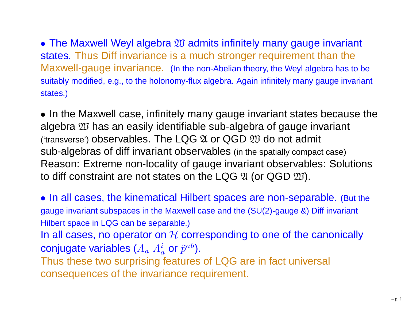$\bullet$  The Maxwell Weyl algebra  $\mathfrak W$  admits infinitely many gauge invariant<br>states. Thus Diff invariance is a much stronger requirement than the states. Thus Diff invariance is <sup>a</sup> much stronger requirement than the Maxwell-gauge invariance. (In the non-Abelian theory, the Weyl algebra has to besuitably modified, e.g., to the holonomy-flux algebra. Again infinitely many gauge invariant states.)

• In the Maxwell case, infinitely many gauge invariant states because thealgebra <sup>W</sup> has an easily identifiable sub-algebra of gauge invariant ('transverse') observables. The LQG  $\frak A$  or QGD  $\frak W$  do not admit<br>sub-algebras of diff invariant observables (in the spatially compac sub-algebras of diff invariant observables (in the spatially compact case) Reason: Extreme non-locality of gauge invariant observables: Solutionsto diff constraint are not states on the LQG  $\mathfrak A$  (or QGD  $\mathfrak W$ ).

• In all cases, the kinematical Hilbert spaces are non-separable. (But the gauge invariant subspaces in the Maxwell case and the (SU(2)-gauge &) Diff invariant Hilbert space in LQG can be separable.)

In all cases, no operator on  ${\cal H}$  corresponding to one of the canonically<br>sentimate variables (A = Al, ar ~ab) conjugate variables ( $A_a \; A_a^i$  or  $\tilde{p}^{ab}$ ).

Thus these two surprising features of LQG are in fact universal consequences of the invariance requirement.